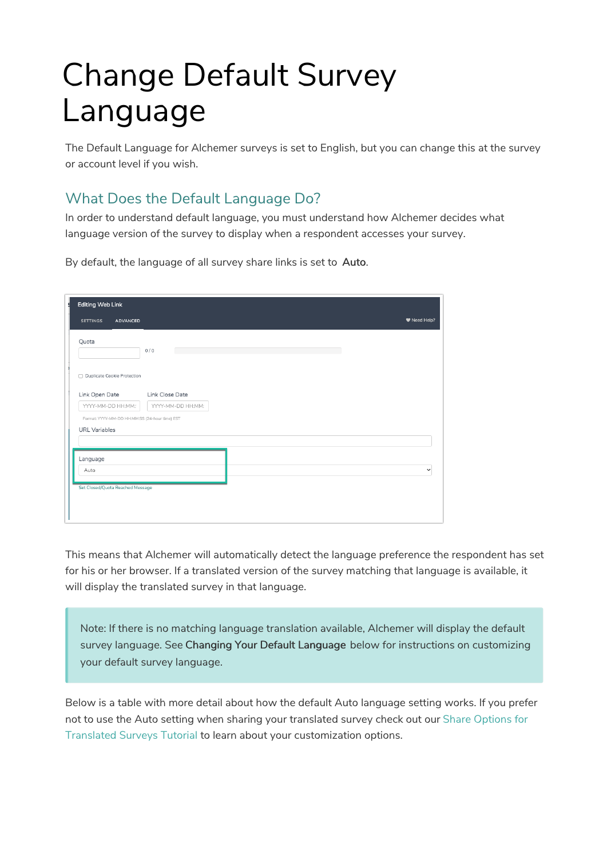# Change Default Survey Language

The Default Language for Alchemer surveys is set to English, but you can change this at the survey or account level if you wish.

### What Does the Default Language Do?

In order to understand default language, you must understand how Alchemer decides what language version of the survey to display when a respondent accesses your survey.

By default, the language of all survey share links is set to Auto.

| <b>Editing Web Link</b>                                                                                                                               |              |
|-------------------------------------------------------------------------------------------------------------------------------------------------------|--------------|
| <b>SETTINGS</b><br><b>ADVANCED</b>                                                                                                                    | ♥ Need Help? |
| Quota<br>0/0                                                                                                                                          |              |
| □ Duplicate Cookie Protection                                                                                                                         |              |
| Link Open Date<br>Link Close Date<br>YYYY-MM-DD HH:MM:<br>YYYY-MM-DD HH:MM:<br>Format: YYYY-MM-DD HH:MM:SS (24-hour time) EST<br><b>URL</b> Variables |              |
| Language<br>Auto<br>Set Closed/Quota Reached Message                                                                                                  |              |

This means that Alchemer will automatically detect the language preference the respondent has set for his or her browser. If a translated version of the survey matching that language is available, it will display the translated survey in that language.

Note: If there is no matching language translation available, Alchemer will display the default survey language. See Changing Your Default Language below for instructions on customizing your default survey language.

Below is a table with more detail about how the default Auto language setting works. If you prefer not to use the Auto setting when sharing your translated survey check out our Share Options for Translated Surveys Tutorial to learn about your customization options.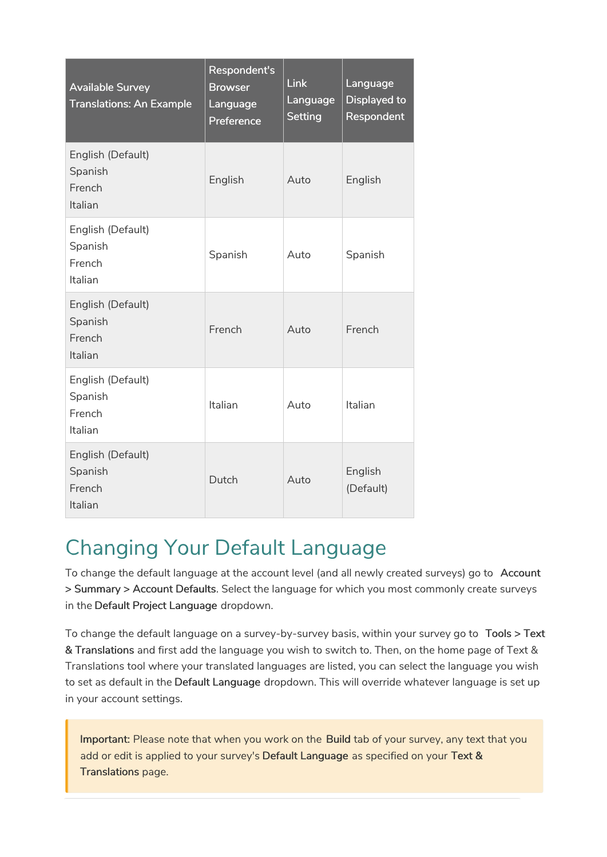| <b>Available Survey</b><br><b>Translations: An Example</b> | Respondent's<br><b>Browser</b><br>Language<br>Preference | <b>Link</b><br>Language<br><b>Setting</b> | Language<br>Displayed to<br>Respondent |
|------------------------------------------------------------|----------------------------------------------------------|-------------------------------------------|----------------------------------------|
| English (Default)<br>Spanish<br>French<br>Italian          | English                                                  | Auto                                      | English                                |
| English (Default)<br>Spanish<br>French<br>Italian          | Spanish                                                  | Auto                                      | Spanish                                |
| English (Default)<br>Spanish<br>French<br>Italian          | French                                                   | Auto                                      | French                                 |
| English (Default)<br>Spanish<br>French<br>Italian          | Italian                                                  | Auto                                      | Italian                                |
| English (Default)<br>Spanish<br>French<br>Italian          | Dutch                                                    | Auto                                      | English<br>(Default)                   |

## Changing Your Default Language

To change the default language at the account level (and all newly created surveys) go to Account > Summary > Account Defaults. Select the language for which you most commonly create surveys in the Default Project Language dropdown.

To change the default language on a survey-by-survey basis, within your survey go to Tools > Text & Translations and first add the language you wish to switch to. Then, on the home page of Text & Translations tool where your translated languages are listed, you can select the language you wish to set as default in the Default Language dropdown. This will override whatever language is set up in your account settings.

Important: Please note that when you work on the Build tab of your survey, any text that you add or edit is applied to your survey's Default Language as specified on your Text & Translations page.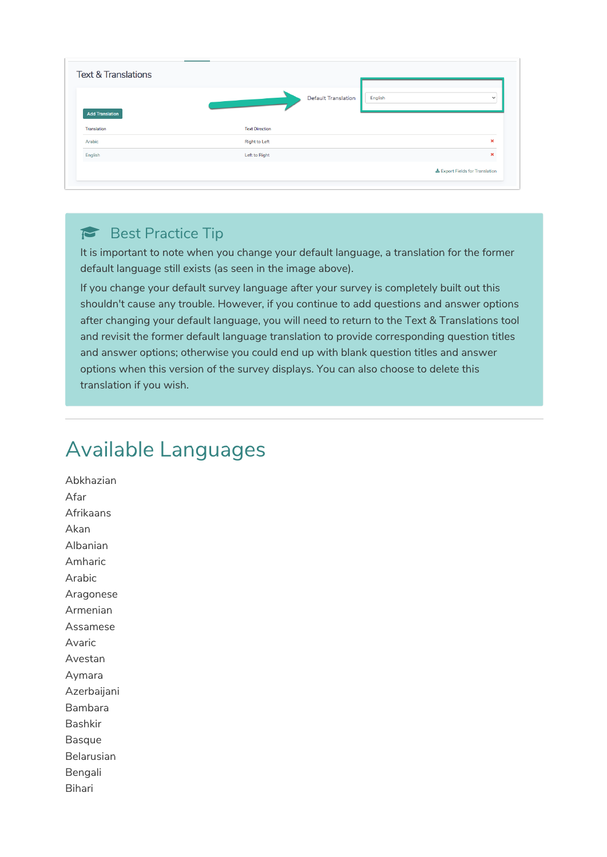| <b>Text &amp; Translations</b> |                            |                         |
|--------------------------------|----------------------------|-------------------------|
| <b>Add Translation</b>         | <b>Default Translation</b> | English<br>$\checkmark$ |
| Translation                    | <b>Text Direction</b>      |                         |
| Arabic                         | <b>Right to Left</b>       | $\pmb{\times}$          |
| English                        | Left to Right              | $\pmb{\times}$          |
|                                |                            |                         |

#### Best Practice Tip

It is important to note when you change your default language, a translation for the former default language still exists (as seen in the image above).

If you change your default survey language after your survey is completely built out this shouldn't cause any trouble. However, if you continue to add questions and answer options after changing your default language, you will need to return to the Text & Translations tool and revisit the former default language translation to provide corresponding question titles and answer options; otherwise you could end up with blank question titles and answer options when this version of the survey displays. You can also choose to delete this translation if you wish.

### Available Languages

Abkhazian Afar Afrikaans Akan Albanian Amharic Arabic Aragonese Armenian Assamese Avaric Avestan Aymara Azerbaijani Bambara Bashkir Basque Belarusian Bengali Bihari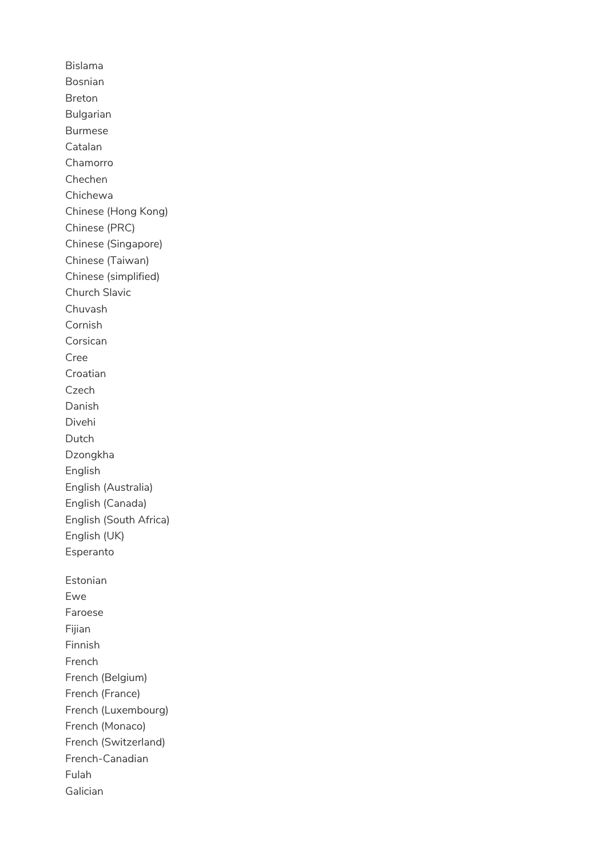Bislama Bosnian Breton Bulgarian Burmese Catalan Chamorro Chechen Chichewa Chinese (Hong Kong) Chinese (PRC) Chinese (Singapore) Chinese (Taiwan) Chinese (simplified) Church Slavic Chuvash Cornish Corsican Cree Croatian Czech Danish Divehi Dutch Dzongkha English English (Australia) English (Canada) English (South Africa) English (UK) Esperanto Estonian Ewe Faroese Fijian Finnish French French (Belgium) French (France) French (Luxembourg) French (Monaco) French (Switzerland) French-Canadian Fulah Galician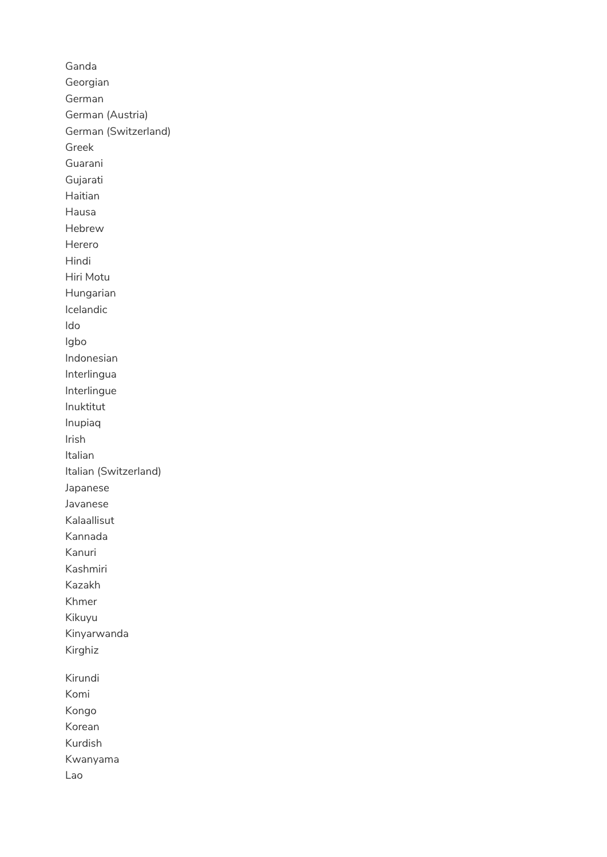Ganda Georgian German German (Austria) German (Switzerland) Greek Guarani Gujarati Haitian Hausa Hebrew Herero Hindi Hiri Motu Hungarian Icelandic Ido Igbo Indonesian Interlingua Interlingue Inuktitut Inupiaq Irish Italian Italian (Switzerland) Japanese Javanese Kalaallisut Kannada Kanuri Kashmiri Kazakh Khmer Kikuyu Kinyarwanda Kirghiz Kirundi Komi Kongo Korean Kurdish Kwanyama Lao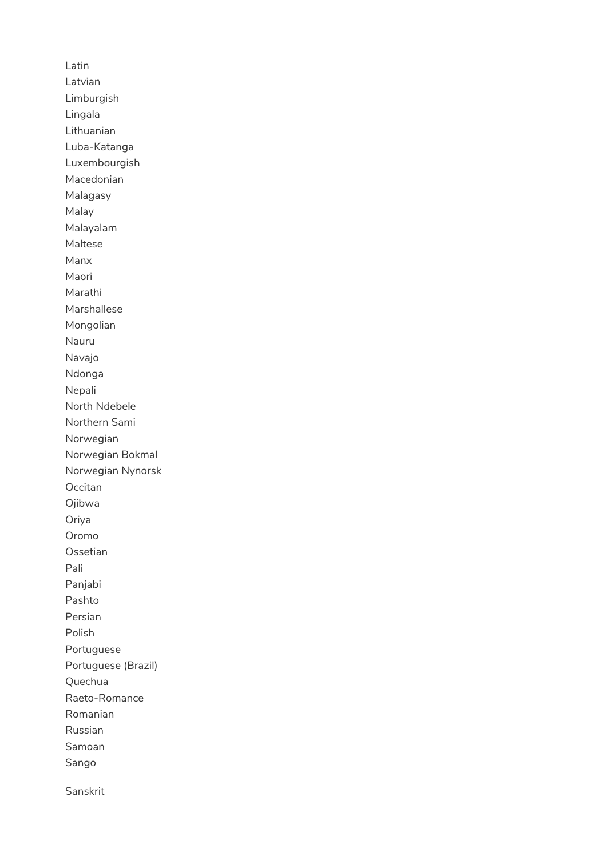Latin Latvian Limburgish Lingala Lithuanian Luba-Katanga Luxembourgish Macedonian Malagasy Malay Malayalam Maltese Manx Maori Marathi Marshallese Mongolian Nauru Navajo Ndonga Nepali North Ndebele Northern Sami Norwegian Norwegian Bokmal Norwegian Nynorsk **Occitan** Ojibwa Oriya Oromo Ossetian Pali Panjabi Pashto Persian Polish Portuguese Portuguese (Brazil) Quechua Raeto-Romance Romanian Russian Samoan Sango

Sanskrit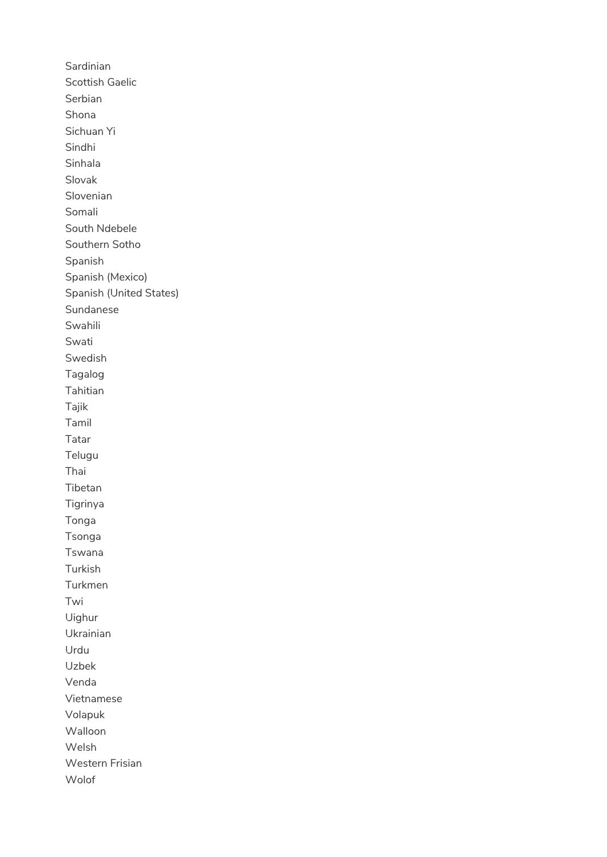Sardinian Scottish Gaelic Serbian Shona Sichuan Yi Sindhi Sinhala Slovak Slovenian Somali South Ndebele Southern Sotho Spanish Spanish (Mexico) Spanish (United States) Sundanese Swahili Swati Swedish Tagalog Tahitian Tajik Tamil Tatar Telugu Thai Tibetan Tigrinya Tonga Tsonga Tswana Turkish Turkmen Twi Uighur Ukrainian Urdu Uzbek Venda Vietnamese Volapuk Walloon Welsh Western Frisian Wolof